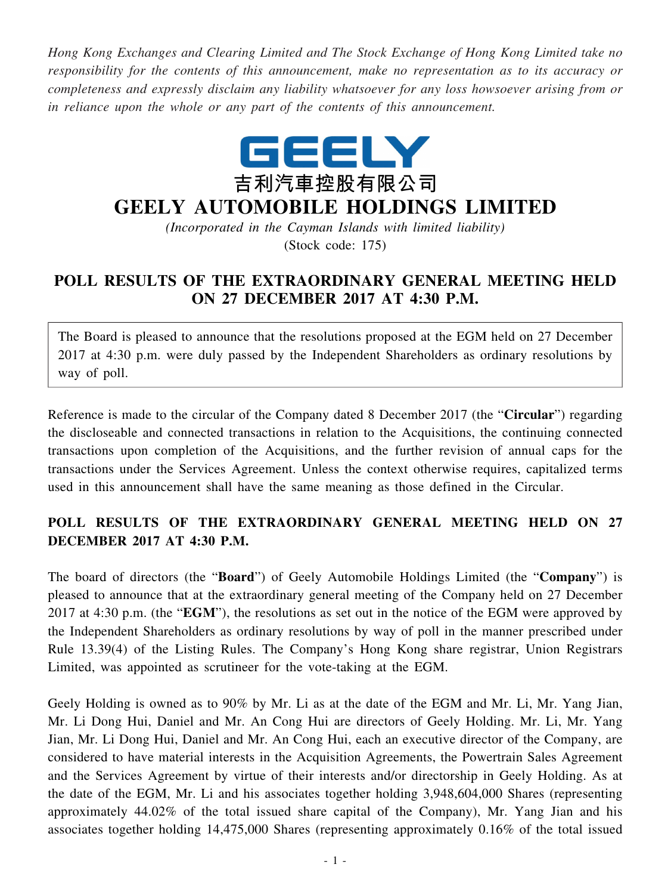*Hong Kong Exchanges and Clearing Limited and The Stock Exchange of Hong Kong Limited take no responsibility for the contents of this announcement, make no representation as to its accuracy or completeness and expressly disclaim any liability whatsoever for any loss howsoever arising from or in reliance upon the whole or any part of the contents of this announcement.*



## **GEELY AUTOMOBILE HOLDINGS LIMITED**

*(Incorporated in the Cayman Islands with limited liability)* (Stock code: 175)

## **POLL RESULTS OF THE EXTRAORDINARY GENERAL MEETING HELD ON 27 DECEMBER 2017 AT 4:30 P.M.**

The Board is pleased to announce that the resolutions proposed at the EGM held on 27 December 2017 at 4:30 p.m. were duly passed by the Independent Shareholders as ordinary resolutions by way of poll.

Reference is made to the circular of the Company dated 8 December 2017 (the "**Circular**") regarding the discloseable and connected transactions in relation to the Acquisitions, the continuing connected transactions upon completion of the Acquisitions, and the further revision of annual caps for the transactions under the Services Agreement. Unless the context otherwise requires, capitalized terms used in this announcement shall have the same meaning as those defined in the Circular.

## **POLL RESULTS OF THE EXTRAORDINARY GENERAL MEETING HELD ON 27 DECEMBER 2017 AT 4:30 P.M.**

The board of directors (the "**Board**") of Geely Automobile Holdings Limited (the "**Company**") is pleased to announce that at the extraordinary general meeting of the Company held on 27 December 2017 at 4:30 p.m. (the "**EGM**"), the resolutions as set out in the notice of the EGM were approved by the Independent Shareholders as ordinary resolutions by way of poll in the manner prescribed under Rule 13.39(4) of the Listing Rules. The Company's Hong Kong share registrar, Union Registrars Limited, was appointed as scrutineer for the vote-taking at the EGM.

Geely Holding is owned as to 90% by Mr. Li as at the date of the EGM and Mr. Li, Mr. Yang Jian, Mr. Li Dong Hui, Daniel and Mr. An Cong Hui are directors of Geely Holding. Mr. Li, Mr. Yang Jian, Mr. Li Dong Hui, Daniel and Mr. An Cong Hui, each an executive director of the Company, are considered to have material interests in the Acquisition Agreements, the Powertrain Sales Agreement and the Services Agreement by virtue of their interests and/or directorship in Geely Holding. As at the date of the EGM, Mr. Li and his associates together holding 3,948,604,000 Shares (representing approximately 44.02% of the total issued share capital of the Company), Mr. Yang Jian and his associates together holding 14,475,000 Shares (representing approximately 0.16% of the total issued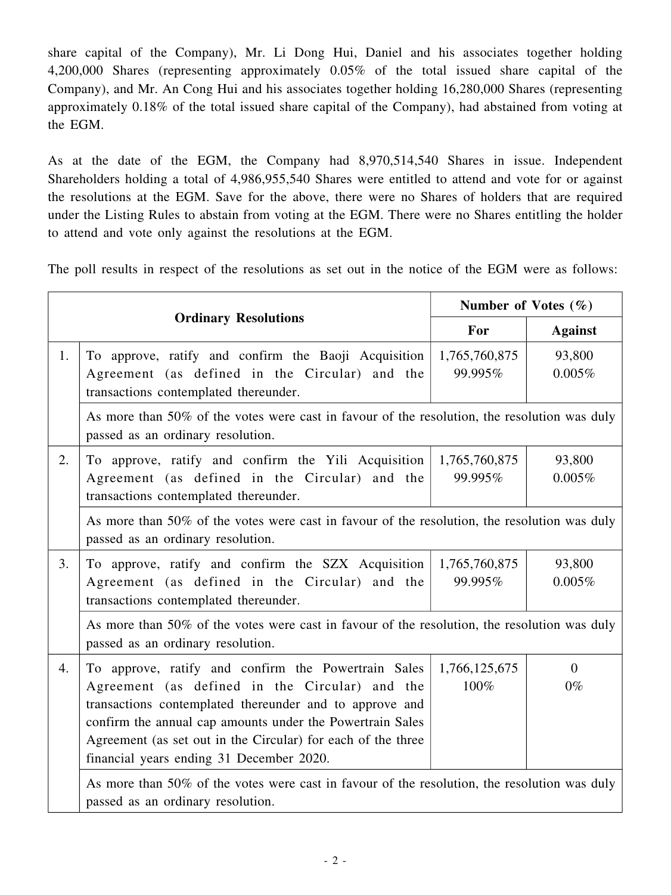share capital of the Company), Mr. Li Dong Hui, Daniel and his associates together holding 4,200,000 Shares (representing approximately 0.05% of the total issued share capital of the Company), and Mr. An Cong Hui and his associates together holding 16,280,000 Shares (representing approximately 0.18% of the total issued share capital of the Company), had abstained from voting at the EGM.

As at the date of the EGM, the Company had 8,970,514,540 Shares in issue. Independent Shareholders holding a total of 4,986,955,540 Shares were entitled to attend and vote for or against the resolutions at the EGM. Save for the above, there were no Shares of holders that are required under the Listing Rules to abstain from voting at the EGM. There were no Shares entitling the holder to attend and vote only against the resolutions at the EGM.

The poll results in respect of the resolutions as set out in the notice of the EGM were as follows:

| <b>Ordinary Resolutions</b> |                                                                                                                                                                                                                                                                                                                                           | Number of Votes $(\% )$  |                         |
|-----------------------------|-------------------------------------------------------------------------------------------------------------------------------------------------------------------------------------------------------------------------------------------------------------------------------------------------------------------------------------------|--------------------------|-------------------------|
|                             |                                                                                                                                                                                                                                                                                                                                           | For                      | <b>Against</b>          |
| 1.                          | To approve, ratify and confirm the Baoji Acquisition<br>Agreement (as defined in the Circular) and the<br>transactions contemplated thereunder.                                                                                                                                                                                           | 1,765,760,875<br>99.995% | 93,800<br>0.005%        |
|                             | As more than 50% of the votes were cast in favour of the resolution, the resolution was duly<br>passed as an ordinary resolution.                                                                                                                                                                                                         |                          |                         |
| 2.                          | To approve, ratify and confirm the Yili Acquisition<br>Agreement (as defined in the Circular) and the<br>transactions contemplated thereunder.                                                                                                                                                                                            | 1,765,760,875<br>99.995% | 93,800<br>0.005%        |
|                             | As more than 50% of the votes were cast in favour of the resolution, the resolution was duly<br>passed as an ordinary resolution.                                                                                                                                                                                                         |                          |                         |
| 3.                          | To approve, ratify and confirm the SZX Acquisition<br>Agreement (as defined in the Circular) and the<br>transactions contemplated thereunder.                                                                                                                                                                                             | 1,765,760,875<br>99.995% | 93,800<br>0.005%        |
|                             | As more than 50% of the votes were cast in favour of the resolution, the resolution was duly<br>passed as an ordinary resolution.                                                                                                                                                                                                         |                          |                         |
| 4.                          | To approve, ratify and confirm the Powertrain Sales<br>Agreement (as defined in the Circular) and the<br>transactions contemplated thereunder and to approve and<br>confirm the annual cap amounts under the Powertrain Sales<br>Agreement (as set out in the Circular) for each of the three<br>financial years ending 31 December 2020. | 1,766,125,675<br>100%    | $\overline{0}$<br>$0\%$ |
|                             | As more than 50% of the votes were cast in favour of the resolution, the resolution was duly<br>passed as an ordinary resolution.                                                                                                                                                                                                         |                          |                         |